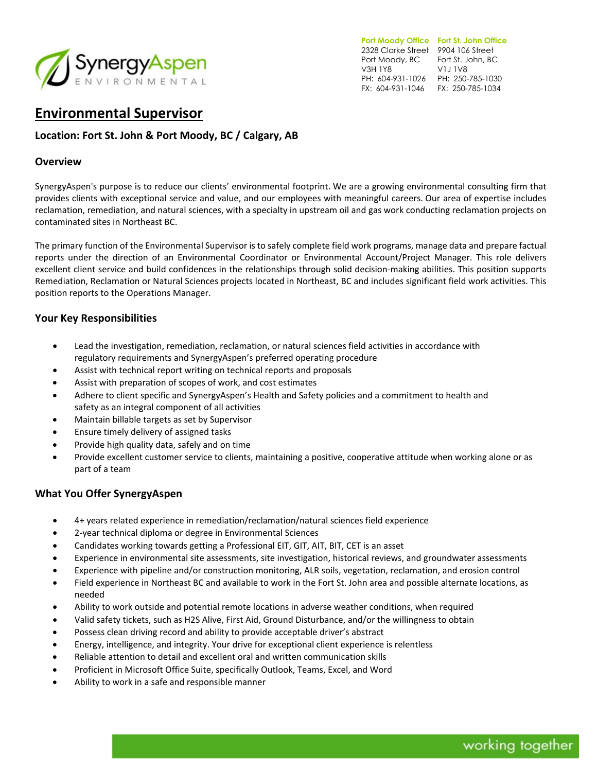

**Port Moody Office Fort St. John Office**  2328 Clarke Street 9904 106 Street Port Moody, BC Fort St. John, BC V3H 1Y8 PH: 604-931-1026 PH: 250-785-1030 FX: 604-931-1046 FX: 250-785-1034 V1J 1V8

# **Environmental Supervisor**

# **Location: Fort St. John & Port Moody, BC / Calgary, AB**

#### **Overview**

SynergyAspen's purpose is to reduce our clients' environmental footprint. We are a growing environmental consulting firm that provides clients with exceptional service and value, and our employees with meaningful careers. Our area of expertise includes reclamation, remediation, and natural sciences, with a specialty in upstream oil and gas work conducting reclamation projects on contaminated sites in Northeast BC.

The primary function of the Environmental Supervisor is to safely complete field work programs, manage data and prepare factual reports under the direction of an Environmental Coordinator or Environmental Account/Project Manager. This role delivers excellent client service and build confidences in the relationships through solid decision-making abilities. This position supports Remediation, Reclamation or Natural Sciences projects located in Northeast, BC and includes significant field work activities. This position reports to the Operations Manager.

### **Your Key Responsibilities**

- Lead the investigation, remediation, reclamation, or natural sciences field activities in accordance with regulatory requirements and SynergyAspen's preferred operating procedure
- Assist with technical report writing on technical reports and proposals
- Assist with preparation of scopes of work, and cost estimates
- Adhere to client specific and SynergyAspen's Health and Safety policies and a commitment to health and safety as an integral component of all activities
- Maintain billable targets as set by Supervisor
- Ensure timely delivery of assigned tasks
- Provide high quality data, safely and on time
- Provide excellent customer service to clients, maintaining a positive, cooperative attitude when working alone or as part of a team

#### **What You Offer SynergyAspen**

- 4+ years related experience in remediation/reclamation/natural sciences field experience
- 2-year technical diploma or degree in Environmental Sciences
- Candidates working towards getting a Professional EIT, GIT, AIT, BIT, CET is an asset
- Experience in environmental site assessments, site investigation, historical reviews, and groundwater assessments
- Experience with pipeline and/or construction monitoring, ALR soils, vegetation, reclamation, and erosion control
- Field experience in Northeast BC and available to work in the Fort St. John area and possible alternate locations, as needed
- Ability to work outside and potential remote locations in adverse weather conditions, when required
- Valid safety tickets, such as H2S Alive, First Aid, Ground Disturbance, and/or the willingness to obtain
- Possess clean driving record and ability to provide acceptable driver's abstract
- Energy, intelligence, and integrity. Your drive for exceptional client experience is relentless
- Reliable attention to detail and excellent oral and written communication skills
- Proficient in Microsoft Office Suite, specifically Outlook, Teams, Excel, and Word
- Ability to work in a safe and responsible manner